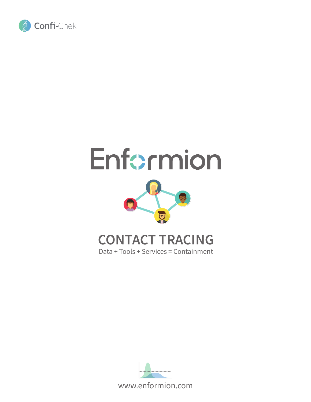

# Enformion



## **CONTACT TRACING**

Data + Tools + Services = Containment